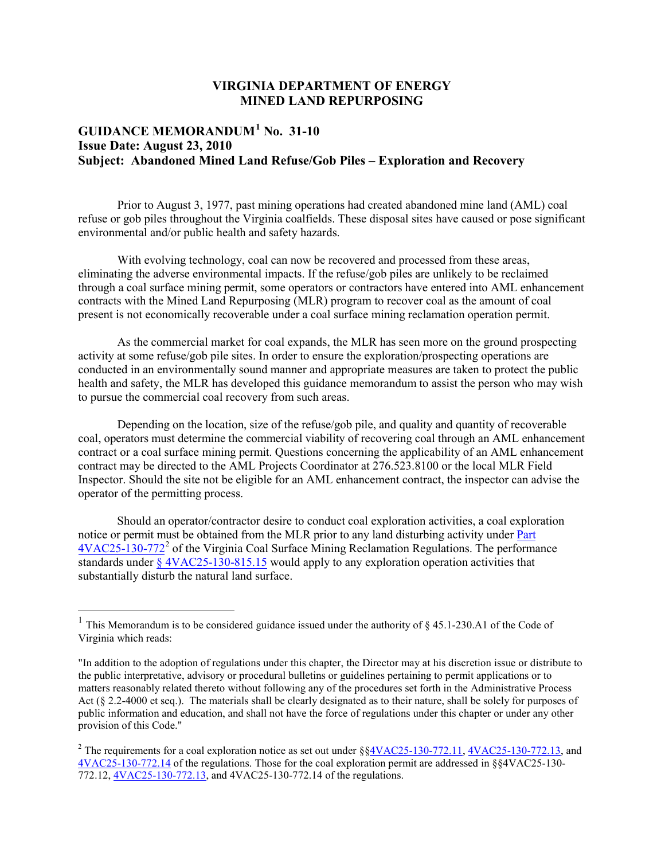## **VIRGINIA DEPARTMENT OF ENERGY MINED LAND REPURPOSING**

## **GUIDANCE MEMORANDUM[1](#page-0-0) No. 31-10 Issue Date: August 23, 2010 Subject: Abandoned Mined Land Refuse/Gob Piles – Exploration and Recovery**

Prior to August 3, 1977, past mining operations had created abandoned mine land (AML) coal refuse or gob piles throughout the Virginia coalfields. These disposal sites have caused or pose significant environmental and/or public health and safety hazards.

With evolving technology, coal can now be recovered and processed from these areas, eliminating the adverse environmental impacts. If the refuse/gob piles are unlikely to be reclaimed through a coal surface mining permit, some operators or contractors have entered into AML enhancement contracts with the Mined Land Repurposing (MLR) program to recover coal as the amount of coal present is not economically recoverable under a coal surface mining reclamation operation permit.

As the commercial market for coal expands, the MLR has seen more on the ground prospecting activity at some refuse/gob pile sites. In order to ensure the exploration/prospecting operations are conducted in an environmentally sound manner and appropriate measures are taken to protect the public health and safety, the MLR has developed this guidance memorandum to assist the person who may wish to pursue the commercial coal recovery from such areas.

Depending on the location, size of the refuse/gob pile, and quality and quantity of recoverable coal, operators must determine the commercial viability of recovering coal through an AML enhancement contract or a coal surface mining permit. Questions concerning the applicability of an AML enhancement contract may be directed to the AML Projects Coordinator at 276.523.8100 or the local MLR Field Inspector. Should the site not be eligible for an AML enhancement contract, the inspector can advise the operator of the permitting process.

Should an operator/contractor desire to conduct coal exploration activities, a coal exploration notice or permit must be obtained from the MLR prior to any land disturbing activity under Pa[rt](http://leg1.state.va.us/cgi-bin/legp504.exe?000+reg+4VAC25-130-772.1)  $4VAC25-130-772<sup>2</sup>$  $4VAC25-130-772<sup>2</sup>$  $4VAC25-130-772<sup>2</sup>$  $4VAC25-130-772<sup>2</sup>$  of the Virginia Coal Surface Mining Reclamation Regulations. The performance standards under  $\sqrt[8]{4 \text{VAC25-130-815.15}}$  would apply to any exploration operation activities that substantially disturb the natural land surface.

<span id="page-0-0"></span><sup>&</sup>lt;sup>1</sup> This Memorandum is to be considered guidance issued under the authority of  $\S$  45.1-230.A1 of the Code of Virginia which reads:

<sup>&</sup>quot;In addition to the adoption of regulations under this chapter, the Director may at his discretion issue or distribute to the public interpretative, advisory or procedural bulletins or guidelines pertaining to permit applications or to matters reasonably related thereto without following any of the procedures set forth in the Administrative Process Act (§ 2.2-4000 et seq.). The materials shall be clearly designated as to their nature, shall be solely for purposes of public information and education, and shall not have the force of regulations under this chapter or under any other provision of this Code."

<span id="page-0-1"></span><sup>&</sup>lt;sup>2</sup> The requirements for a coal exploration notice as set out under  $\frac{\sqrt{4}VAC25-130-772.11}{4VAC25-130-772.13}$ , and [4VAC25-130-772.14](http://leg1.state.va.us/cgi-bin/legp504.exe?000+reg+4VAC25-130-772.14) of the regulations. Those for the coal exploration permit are addressed in §§4VAC25-130- 772.12[, 4VAC25-130-772.13,](http://leg1.state.va.us/cgi-bin/legp504.exe?000+reg+4VAC25-130-772.13) and 4VAC25-130-772.14 of the regulations.